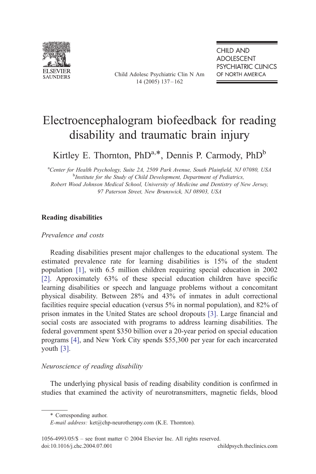

Child Adolesc Psychiatric Clin N Am 14 (2005) 137 – 162

**CHILD AND ADOI ESCENT PSYCHIATRIC CLINICS** OF NORTH AMERICA

# Electroencephalogram biofeedback for reading disability and traumatic brain injury

Kirtley E. Thornton,  $PhD^{a,*}$ , Dennis P. Carmody,  $PhD^{b}$ 

<sup>a</sup>Center for Health Psychology, Suite 2A, 2509 Park Avenue, South Plainfield, NJ 07080, USA <sup>b</sup>Institute for the Study of Child Development, Department of Pediatrics, Robert Wood Johnson Medical School, University of Medicine and Dentistry of New Jersey,

97 Paterson Street, New Brunswick, NJ 08903, USA

# Reading disabilities

# Prevalence and costs

Reading disabilities present major challenges to the educational system. The estimated prevalence rate for learning disabilities is 15% of the student population [\[1\],](#page-22-0) with 6.5 million children requiring special education in 2002 [\[2\]](#page-22-0). Approximately 63% of these special education children have specific learning disabilities or speech and language problems without a concomitant physical disability. Between 28% and 43% of inmates in adult correctional facilities require special education (versus 5% in normal population), and 82% of prison inmates in the United States are school dropouts [\[3\].](#page-22-0) Large financial and social costs are associated with programs to address learning disabilities. The federal government spent \$350 billion over a 20-year period on special education programs [\[4\],](#page-22-0) and New York City spends \$55,300 per year for each incarcerated youth [\[3\]](#page-22-0).

# Neuroscience of reading disability

The underlying physical basis of reading disability condition is confirmed in studies that examined the activity of neurotransmitters, magnetic fields, blood

<sup>\*</sup> Corresponding author.

E-mail address: ket@chp-neurotherapy.com (K.E. Thornton).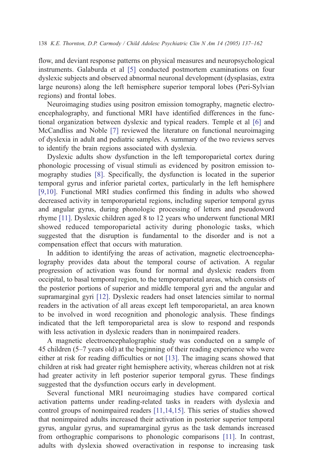flow, and deviant response patterns on physical measures and neuropsychological instruments. Galaburda et al [\[5\]](#page-22-0) conducted postmortem examinations on four dyslexic subjects and observed abnormal neuronal development (dysplasias, extra large neurons) along the left hemisphere superior temporal lobes (Peri-Sylvian regions) and frontal lobes.

Neuroimaging studies using positron emission tomography, magnetic electroencephalography, and functional MRI have identified differences in the functional organization between dyslexic and typical readers. Temple et al [\[6\]](#page-22-0) and McCandliss and Noble [\[7\]](#page-22-0) reviewed the literature on functional neuroimaging of dyslexia in adult and pediatric samples. A summary of the two reviews serves to identify the brain regions associated with dyslexia.

Dyslexic adults show dysfunction in the left temporoparietal cortex during phonologic processing of visual stimuli as evidenced by positron emission tomography studies [\[8\].](#page-22-0) Specifically, the dysfunction is located in the superior temporal gyrus and inferior parietal cortex, particularly in the left hemisphere [\[9,10\].](#page-22-0) Functional MRI studies confirmed this finding in adults who showed decreased activity in temporoparietal regions, including superior temporal gyrus and angular gyrus, during phonologic processing of letters and pseudoword rhyme [\[11\].](#page-22-0) Dyslexic children aged 8 to 12 years who underwent functional MRI showed reduced temporoparietal activity during phonologic tasks, which suggested that the disruption is fundamental to the disorder and is not a compensation effect that occurs with maturation.

In addition to identifying the areas of activation, magnetic electroencephalography provides data about the temporal course of activation. A regular progression of activation was found for normal and dyslexic readers from occipital, to basal temporal region, to the temporoparietal areas, which consists of the posterior portions of superior and middle temporal gyri and the angular and supramarginal gyri [\[12\].](#page-22-0) Dyslexic readers had onset latencies similar to normal readers in the activation of all areas except left temporoparietal, an area known to be involved in word recognition and phonologic analysis. These findings indicated that the left temporoparietal area is slow to respond and responds with less activation in dyslexic readers than in nonimpaired readers.

A magnetic electroencephalographic study was conducted on a sample of 45 children (5–7 years old) at the beginning of their reading experience who were either at risk for reading difficulties or not [\[13\].](#page-22-0) The imaging scans showed that children at risk had greater right hemisphere activity, whereas children not at risk had greater activity in left posterior superior temporal gyrus. These findings suggested that the dysfunction occurs early in development.

Several functional MRI neuroimaging studies have compared cortical activation patterns under reading-related tasks in readers with dyslexia and control groups of nonimpaired readers [\[11,14,15\].](#page-22-0) This series of studies showed that nonimpaired adults increased their activation in posterior superior temporal gyrus, angular gyrus, and supramarginal gyrus as the task demands increased from orthographic comparisons to phonologic comparisons [\[11\].](#page-22-0) In contrast, adults with dyslexia showed overactivation in response to increasing task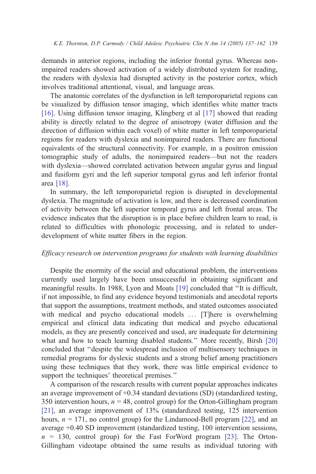demands in anterior regions, including the inferior frontal gyrus. Whereas nonimpaired readers showed activation of a widely distributed system for reading, the readers with dyslexia had disrupted activity in the posterior cortex, which involves traditional attentional, visual, and language areas.

The anatomic correlates of the dysfunction in left temporoparietal regions can be visualized by diffusion tensor imaging, which identifies white matter tracts [\[16\]](#page-23-0). Using diffusion tensor imaging, Klingberg et al [\[17\]](#page-23-0) showed that reading ability is directly related to the degree of anisotropy (water diffusion and the direction of diffusion within each voxel) of white matter in left temporoparietal regions for readers with dyslexia and nonimpaired readers. There are functional equivalents of the structural connectivity. For example, in a positron emission tomographic study of adults, the nonimpaired readers—but not the readers with dyslexia—showed correlated activation between angular gyrus and lingual and fusiform gyri and the left superior temporal gyrus and left inferior frontal area [\[18\].](#page-23-0)

In summary, the left temporoparietal region is disrupted in developmental dyslexia. The magnitude of activation is low, and there is decreased coordination of activity between the left superior temporal gyrus and left frontal areas. The evidence indicates that the disruption is in place before children learn to read, is related to difficulties with phonologic processing, and is related to underdevelopment of white matter fibers in the region.

#### Efficacy research on intervention programs for students with learning disabilities

Despite the enormity of the social and educational problem, the interventions currently used largely have been unsuccessful in obtaining significant and meaningful results. In 1988, Lyon and Moats [\[19\]](#page-23-0) concluded that ''It is difficult, if not impossible, to find any evidence beyond testimonials and anecdotal reports that support the assumptions, treatment methods, and stated outcomes associated with medical and psycho educational models ... [T]here is overwhelming empirical and clinical data indicating that medical and psycho educational models, as they are presently conceived and used, are inadequate for determining what and how to teach learning disabled students.'' More recently, Birsh [\[20\]](#page-23-0) concluded that ''despite the widespread inclusion of multisensory techniques in remedial programs for dyslexic students and a strong belief among practitioners using these techniques that they work, there was little empirical evidence to support the techniques' theoretical premises.''

A comparison of the research results with current popular approaches indicates an average improvement of  $+0.34$  standard deviations (SD) (standardized testing, 350 intervention hours,  $n = 48$ , control group) for the Orton-Gillingham program [\[21\]](#page-23-0), an average improvement of 13% (standardized testing, 125 intervention hours,  $n = 171$ , no control group) for the Lindamood-Bell program [\[22\],](#page-23-0) and an average +0.40 SD improvement (standardized testing, 100 intervention sessions,  $n = 130$ , control group) for the Fast ForWord program [\[23\].](#page-23-0) The Orton-Gillingham videotape obtained the same results as individual tutoring with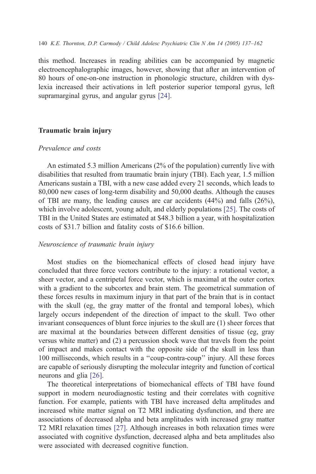this method. Increases in reading abilities can be accompanied by magnetic electroencephalographic images, however, showing that after an intervention of 80 hours of one-on-one instruction in phonologic structure, children with dyslexia increased their activations in left posterior superior temporal gyrus, left supramarginal gyrus, and angular gyrus [\[24\].](#page-23-0)

## Traumatic brain injury

## Prevalence and costs

An estimated 5.3 million Americans (2% of the population) currently live with disabilities that resulted from traumatic brain injury (TBI). Each year, 1.5 million Americans sustain a TBI, with a new case added every 21 seconds, which leads to 80,000 new cases of long-term disability and 50,000 deaths. Although the causes of TBI are many, the leading causes are car accidents  $(44\%)$  and falls  $(26\%)$ , which involve adolescent, young adult, and elderly populations [\[25\].](#page-23-0) The costs of TBI in the United States are estimated at \$48.3 billion a year, with hospitalization costs of \$31.7 billion and fatality costs of \$16.6 billion.

#### Neuroscience of traumatic brain injury

Most studies on the biomechanical effects of closed head injury have concluded that three force vectors contribute to the injury: a rotational vector, a sheer vector, and a centripetal force vector, which is maximal at the outer cortex with a gradient to the subcortex and brain stem. The geometrical summation of these forces results in maximum injury in that part of the brain that is in contact with the skull (eg, the gray matter of the frontal and temporal lobes), which largely occurs independent of the direction of impact to the skull. Two other invariant consequences of blunt force injuries to the skull are (1) sheer forces that are maximal at the boundaries between different densities of tissue (eg, gray versus white matter) and (2) a percussion shock wave that travels from the point of impact and makes contact with the opposite side of the skull in less than 100 milliseconds, which results in a ''coup-contra-coup'' injury. All these forces are capable of seriously disrupting the molecular integrity and function of cortical neurons and glia [\[26\].](#page-23-0)

The theoretical interpretations of biomechanical effects of TBI have found support in modern neurodiagnostic testing and their correlates with cognitive function. For example, patients with TBI have increased delta amplitudes and increased white matter signal on T2 MRI indicating dysfunction, and there are associations of decreased alpha and beta amplitudes with increased gray matter T2 MRI relaxation times [\[27\].](#page-23-0) Although increases in both relaxation times were associated with cognitive dysfunction, decreased alpha and beta amplitudes also were associated with decreased cognitive function.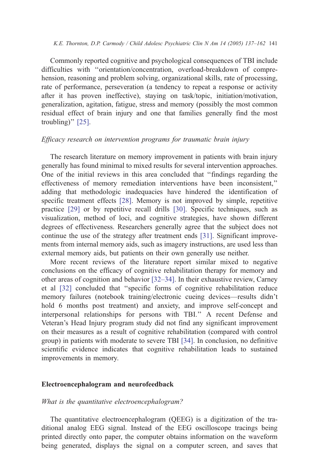Commonly reported cognitive and psychological consequences of TBI include difficulties with ''orientation/concentration, overload-breakdown of comprehension, reasoning and problem solving, organizational skills, rate of processing, rate of performance, perseveration (a tendency to repeat a response or activity after it has proven ineffective), staying on task/topic, initiation/motivation, generalization, agitation, fatigue, stress and memory (possibly the most common residual effect of brain injury and one that families generally find the most troubling)'' [\[25\].](#page-23-0)

#### Efficacy research on intervention programs for traumatic brain injury

The research literature on memory improvement in patients with brain injury generally has found minimal to mixed results for several intervention approaches. One of the initial reviews in this area concluded that ''findings regarding the effectiveness of memory remediation interventions have been inconsistent,'' adding that methodologic inadequacies have hindered the identification of specific treatment effects [\[28\].](#page-23-0) Memory is not improved by simple, repetitive practice [\[29\]](#page-23-0) or by repetitive recall drills [\[30\].](#page-23-0) Specific techniques, such as visualization, method of loci, and cognitive strategies, have shown different degrees of effectiveness. Researchers generally agree that the subject does not continue the use of the strategy after treatment ends [\[31\].](#page-23-0) Significant improvements from internal memory aids, such as imagery instructions, are used less than external memory aids, but patients on their own generally use neither.

More recent reviews of the literature report similar mixed to negative conclusions on the efficacy of cognitive rehabilitation therapy for memory and other areas of cognition and behavior [\[32–34\].](#page-23-0) In their exhaustive review, Carney et al [\[32\]](#page-23-0) concluded that ''specific forms of cognitive rehabilitation reduce memory failures (notebook training/electronic cueing devices—results didn't hold 6 months post treatment) and anxiety, and improve self-concept and interpersonal relationships for persons with TBI.'' A recent Defense and Veteran's Head Injury program study did not find any significant improvement on their measures as a result of cognitive rehabilitation (compared with control group) in patients with moderate to severe TBI [\[34\].](#page-23-0) In conclusion, no definitive scientific evidence indicates that cognitive rehabilitation leads to sustained improvements in memory.

#### Electroencephalogram and neurofeedback

## What is the quantitative electroencephalogram?

The quantitative electroencephalogram (QEEG) is a digitization of the traditional analog EEG signal. Instead of the EEG oscilloscope tracings being printed directly onto paper, the computer obtains information on the waveform being generated, displays the signal on a computer screen, and saves that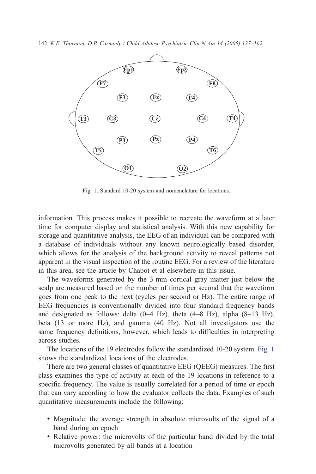

Fig. 1. Standard 10-20 system and nomenclature for locations.

information. This process makes it possible to recreate the waveform at a later time for computer display and statistical analysis. With this new capability for storage and quantitative analysis, the EEG of an individual can be compared with a database of individuals without any known neurologically based disorder, which allows for the analysis of the background activity to reveal patterns not apparent in the visual inspection of the routine EEG. For a review of the literature in this area, see the article by Chabot et al elsewhere in this issue.

The waveforms generated by the 3-mm cortical gray matter just below the scalp are measured based on the number of times per second that the waveform goes from one peak to the next (cycles per second or Hz). The entire range of EEG frequencies is conventionally divided into four standard frequency bands and designated as follows: delta  $(0-4 \text{ Hz})$ , theta  $(4-8 \text{ Hz})$ , alpha  $(8-13 \text{ Hz})$ , beta (13 or more Hz), and gamma (40 Hz). Not all investigators use the same frequency definitions, however, which leads to difficulties in interpreting across studies.

The locations of the 19 electrodes follow the standardized 10-20 system. Fig. 1 shows the standardized locations of the electrodes.

There are two general classes of quantitative EEG (QEEG) measures. The first class examines the type of activity at each of the 19 locations in reference to a specific frequency. The value is usually correlated for a period of time or epoch that can vary according to how the evaluator collects the data. Examples of such quantitative measurements include the following:

- ! Magnitude: the average strength in absolute microvolts of the signal of a band during an epoch
- ! Relative power: the microvolts of the particular band divided by the total microvolts generated by all bands at a location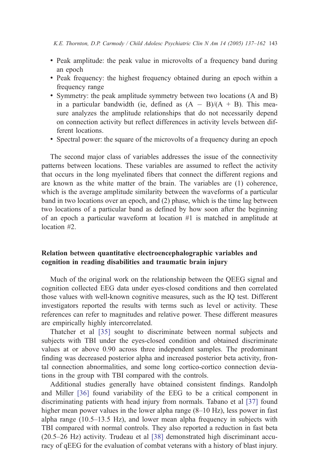- ! Peak amplitude: the peak value in microvolts of a frequency band during an epoch
- ! Peak frequency: the highest frequency obtained during an epoch within a frequency range
- ! Symmetry: the peak amplitude symmetry between two locations (A and B) in a particular bandwidth (ie, defined as  $(A - B)/(A + B)$ ). This measure analyzes the amplitude relationships that do not necessarily depend on connection activity but reflect differences in activity levels between different locations.
- ! Spectral power: the square of the microvolts of a frequency during an epoch

The second major class of variables addresses the issue of the connectivity patterns between locations. These variables are assumed to reflect the activity that occurs in the long myelinated fibers that connect the different regions and are known as the white matter of the brain. The variables are (1) coherence, which is the average amplitude similarity between the waveforms of a particular band in two locations over an epoch, and (2) phase, which is the time lag between two locations of a particular band as defined by how soon after the beginning of an epoch a particular waveform at location #1 is matched in amplitude at location #2.

# Relation between quantitative electroencephalographic variables and cognition in reading disabilities and traumatic brain injury

Much of the original work on the relationship between the QEEG signal and cognition collected EEG data under eyes-closed conditions and then correlated those values with well-known cognitive measures, such as the IQ test. Different investigators reported the results with terms such as level or activity. These references can refer to magnitudes and relative power. These different measures are empirically highly intercorrelated.

Thatcher et al [\[35\]](#page-23-0) sought to discriminate between normal subjects and subjects with TBI under the eyes-closed condition and obtained discriminate values at or above 0.90 across three independent samples. The predominant finding was decreased posterior alpha and increased posterior beta activity, frontal connection abnormalities, and some long cortico-cortico connection deviations in the group with TBI compared with the controls.

Additional studies generally have obtained consistent findings. Randolph and Miller [\[36\]](#page-23-0) found variability of the EEG to be a critical component in discriminating patients with head injury from normals. Tabano et al [\[37\]](#page-23-0) found higher mean power values in the lower alpha range  $(8-10 \text{ Hz})$ , less power in fast alpha range (10.5–13.5 Hz), and lower mean alpha frequency in subjects with TBI compared with normal controls. They also reported a reduction in fast beta (20.5–26 Hz) activity. Trudeau et al [\[38\]](#page-23-0) demonstrated high discriminant accuracy of qEEG for the evaluation of combat veterans with a history of blast injury.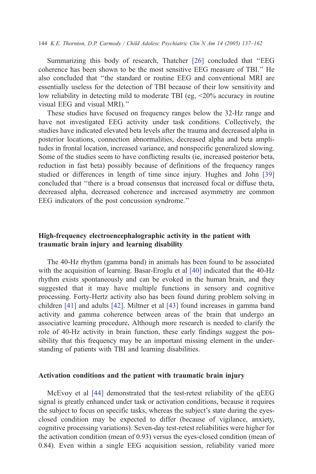Summarizing this body of research, Thatcher [\[26\]](#page-23-0) concluded that ''EEG coherence has been shown to be the most sensitive EEG measure of TBI.'' He also concluded that ''the standard or routine EEG and conventional MRI are essentially useless for the detection of TBI because of their low sensitivity and low reliability in detecting mild to moderate TBI (eg,  $\leq 20\%$  accuracy in routine visual EEG and visual MRI).''

These studies have focused on frequency ranges below the 32-Hz range and have not investigated EEG activity under task conditions. Collectively, the studies have indicated elevated beta levels after the trauma and decreased alpha in posterior locations, connection abnormalities, decreased alpha and beta amplitudes in frontal location, increased variance, and nonspecific generalized slowing. Some of the studies seem to have conflicting results (ie, increased posterior beta, reduction in fast beta) possibly because of definitions of the frequency ranges studied or differences in length of time since injury. Hughes and John [\[39\]](#page-24-0) concluded that ''there is a broad consensus that increased focal or diffuse theta, decreased alpha, decreased coherence and increased asymmetry are common EEG indicators of the post concussion syndrome.''

# High-frequency electroencephalographic activity in the patient with traumatic brain injury and learning disability

The 40-Hz rhythm (gamma band) in animals has been found to be associated with the acquisition of learning. Basar-Eroglu et al [\[40\]](#page-24-0) indicated that the 40-Hz rhythm exists spontaneously and can be evoked in the human brain, and they suggested that it may have multiple functions in sensory and cognitive processing. Forty-Hertz activity also has been found during problem solving in children [\[41\]](#page-24-0) and adults [\[42\].](#page-24-0) Miltner et al [\[43\]](#page-24-0) found increases in gamma band activity and gamma coherence between areas of the brain that undergo an associative learning procedure. Although more research is needed to clarify the role of 40-Hz activity in brain function, these early findings suggest the possibility that this frequency may be an important missing element in the understanding of patients with TBI and learning disabilities.

## Activation conditions and the patient with traumatic brain injury

McEvoy et al [\[44\]](#page-24-0) demonstrated that the test-retest reliability of the qEEG signal is greatly enhanced under task or activation conditions, because it requires the subject to focus on specific tasks, whereas the subject's state during the eyesclosed condition may be expected to differ (because of vigilance, anxiety, cognitive processing variations). Seven-day test-retest reliabilities were higher for the activation condition (mean of 0.93) versus the eyes-closed condition (mean of 0.84). Even within a single EEG acquisition session, reliability varied more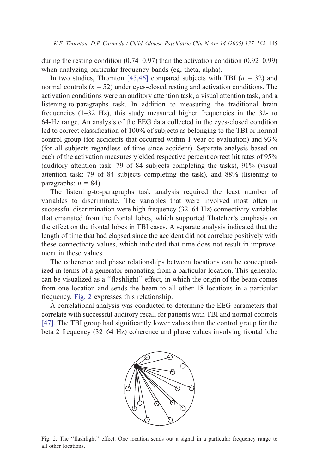during the resting condition (0.74–0.97) than the activation condition (0.92–0.99) when analyzing particular frequency bands (eg, theta, alpha).

In two studies, Thornton [\[45,46\]](#page-24-0) compared subjects with TBI ( $n = 32$ ) and normal controls ( $n = 52$ ) under eyes-closed resting and activation conditions. The activation conditions were an auditory attention task, a visual attention task, and a listening-to-paragraphs task. In addition to measuring the traditional brain frequencies  $(1-32 \text{ Hz})$ , this study measured higher frequencies in the 32- to 64-Hz range. An analysis of the EEG data collected in the eyes-closed condition led to correct classification of 100% of subjects as belonging to the TBI or normal control group (for accidents that occurred within 1 year of evaluation) and 93% (for all subjects regardless of time since accident). Separate analysis based on each of the activation measures yielded respective percent correct hit rates of 95% (auditory attention task: 79 of 84 subjects completing the tasks), 91% (visual attention task: 79 of 84 subjects completing the task), and 88% (listening to paragraphs:  $n = 84$ ).

The listening-to-paragraphs task analysis required the least number of variables to discriminate. The variables that were involved most often in successful discrimination were high frequency (32–64 Hz) connectivity variables that emanated from the frontal lobes, which supported Thatcher's emphasis on the effect on the frontal lobes in TBI cases. A separate analysis indicated that the length of time that had elapsed since the accident did not correlate positively with these connectivity values, which indicated that time does not result in improvement in these values.

The coherence and phase relationships between locations can be conceptualized in terms of a generator emanating from a particular location. This generator can be visualized as a ''flashlight'' effect, in which the origin of the beam comes from one location and sends the beam to all other 18 locations in a particular frequency. Fig. 2 expresses this relationship.

A correlational analysis was conducted to determine the EEG parameters that correlate with successful auditory recall for patients with TBI and normal controls [\[47\]](#page-24-0). The TBI group had significantly lower values than the control group for the beta 2 frequency (32–64 Hz) coherence and phase values involving frontal lobe



Fig. 2. The ''flashlight'' effect. One location sends out a signal in a particular frequency range to all other locations.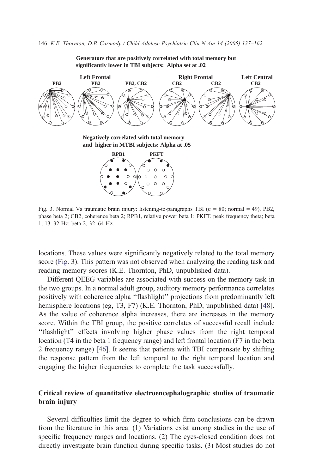

**Generators that are positively correlated with total memory but significantly lower in TBI subjects: Alpha set at .02**

Fig. 3. Normal Vs traumatic brain injury: listening-to-paragraphs TBI ( $n = 80$ ; normal = 49). PB2, phase beta 2; CB2, coherence beta 2; RPB1, relative power beta 1; PKFT, peak frequency theta; beta 1, 13–32 Hz; beta 2, 32–64 Hz.

locations. These values were significantly negatively related to the total memory score (Fig. 3). This pattern was not observed when analyzing the reading task and reading memory scores (K.E. Thornton, PhD, unpublished data).

Different QEEG variables are associated with success on the memory task in the two groups. In a normal adult group, auditory memory performance correlates positively with coherence alpha ''flashlight'' projections from predominantly left hemisphere locations (eg, T3, F7) (K.E. Thornton, PhD, unpublished data) [\[48\].](#page-24-0) As the value of coherence alpha increases, there are increases in the memory score. Within the TBI group, the positive correlates of successful recall include ''flashlight'' effects involving higher phase values from the right temporal location (T4 in the beta 1 frequency range) and left frontal location (F7 in the beta 2 frequency range) [\[46\].](#page-24-0) It seems that patients with TBI compensate by shifting the response pattern from the left temporal to the right temporal location and engaging the higher frequencies to complete the task successfully.

# Critical review of quantitative electroencephalographic studies of traumatic brain injury

Several difficulties limit the degree to which firm conclusions can be drawn from the literature in this area. (1) Variations exist among studies in the use of specific frequency ranges and locations. (2) The eyes-closed condition does not directly investigate brain function during specific tasks. (3) Most studies do not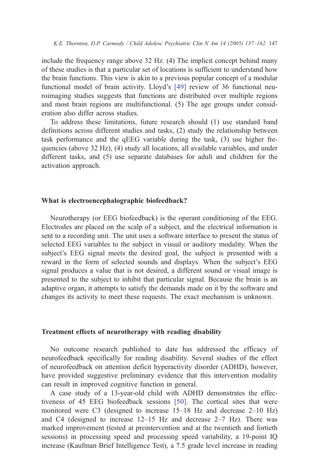include the frequency range above 32 Hz. (4) The implicit concept behind many of these studies is that a particular set of locations is sufficient to understand how the brain functions. This view is akin to a previous popular concept of a modular functional model of brain activity. Lloyd's [\[49\]](#page-24-0) review of 36 functional neuroimaging studies suggests that functions are distributed over multiple regions and most brain regions are multifunctional. (5) The age groups under consideration also differ across studies.

To address these limitations, future research should (1) use standard band definitions across different studies and tasks, (2) study the relationship between task performance and the qEEG variable during the task, (3) use higher frequencies (above 32 Hz), (4) study all locations, all available variables, and under different tasks, and (5) use separate databases for adult and children for the activation approach.

## What is electroencephalographic biofeedback?

Neurotherapy (or EEG biofeedback) is the operant conditioning of the EEG. Electrodes are placed on the scalp of a subject, and the electrical information is sent to a recording unit. The unit uses a software interface to present the status of selected EEG variables to the subject in visual or auditory modality. When the subject's EEG signal meets the desired goal, the subject is presented with a reward in the form of selected sounds and displays. When the subject's EEG signal produces a value that is not desired, a different sound or visual image is presented to the subject to inhibit that particular signal. Because the brain is an adaptive organ, it attempts to satisfy the demands made on it by the software and changes its activity to meet these requests. The exact mechanism is unknown.

#### Treatment effects of neurotherapy with reading disability

No outcome research published to date has addressed the efficacy of neurofeedback specifically for reading disability. Several studies of the effect of neurofeedback on attention deficit hyperactivity disorder (ADHD), however, have provided suggestive preliminary evidence that this intervention modality can result in improved cognitive function in general.

A case study of a 13-year-old child with ADHD demonstrates the effectiveness of 45 EEG biofeedback sessions [\[50\].](#page-24-0) The cortical sites that were monitored were C3 (designed to increase 15–18 Hz and decrease 2–10 Hz) and C4 (designed to increase  $12-15$  Hz and decrease  $2-7$  Hz). There was marked improvement (tested at preintervention and at the twentieth and fortieth sessions) in processing speed and processing speed variability, a 19-point IQ increase (Kaufman Brief Intelligence Test), a 7.5 grade level increase in reading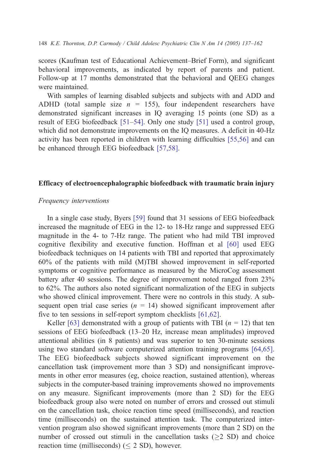scores (Kaufman test of Educational Achievement–Brief Form), and significant behavioral improvements, as indicated by report of parents and patient. Follow-up at 17 months demonstrated that the behavioral and QEEG changes were maintained.

With samples of learning disabled subjects and subjects with and ADD and ADHD (total sample size  $n = 155$ ), four independent researchers have demonstrated significant increases in IQ averaging 15 points (one SD) as a result of EEG biofeedback [\[51–54\].](#page-24-0) Only one study [\[51\]](#page-24-0) used a control group, which did not demonstrate improvements on the IQ measures. A deficit in 40-Hz activity has been reported in children with learning difficulties [\[55,56\]](#page-24-0) and can be enhanced through EEG biofeedback [57,58].

#### Efficacy of elect[roenceph](#page-24-0)alographic biofeedback with traumatic brain injury

#### Frequency interventions

In a single case study, Byers [59] found that 31 sessions of EEG biofeedback increased the magnitude of EEG in the 12- to 18-Hz range and suppressed EEG magnitude in the 4- to 7-Hz range. The patient who had mild TBI improved cognitive flexibility and executive function. Hoffman et al [60] used EEG biofeedback techniques on 14 p[atient](#page-24-0)s with TBI and reported that approximately 60% of the patients with mild (M)TBI showed improvement in self-reported symptoms or cognitive performance as measured by the MicroCog assessment battery after 40 sessions. The degree of improvement noted ra[nged](#page-24-0) from 23% to 62%. The authors also noted significant normalization of the EEG in subjects who showed clinical improvement. There were no controls in this study. A subsequent open trial case series ( $n = 14$ ) showed significant improvement after five to ten sessions in self-report symptom checklists [61,62].

Keller [63] demonstrated with a group of patients with TBI  $(n = 12)$  that ten sessions of EEG biofeedback (13–20 Hz, increase mean amplitudes) improved attentional abilities (in 8 patients) and was superior to ten 30-minute sessions using two standard software computerized attention t[raining](#page-24-0) programs [64,65]. The EE[G bi](#page-25-0)ofeedback subjects showed significant improvement on the cancellation task (improvement more than 3 SD) and nonsignificant improvements in other error measures (eg, choice reaction, sustained attention), whereas subjects in the computer-based training improvements showed no impro[vements](#page-25-0) on any measure. Significant improvements (more than 2 SD) for the EEG biofeedback group also were noted on number of errors and crossed out stimuli on the cancellation task, choice reaction time speed (milliseconds), and reaction time (milliseconds) on the sustained attention task. The computerized intervention program also showed significant improvements (more than 2 SD) on the number of crossed out stimuli in the cancellation tasks  $(\geq 2 \text{ SD})$  and choice reaction time (milliseconds)  $(< 2 SD$ , however.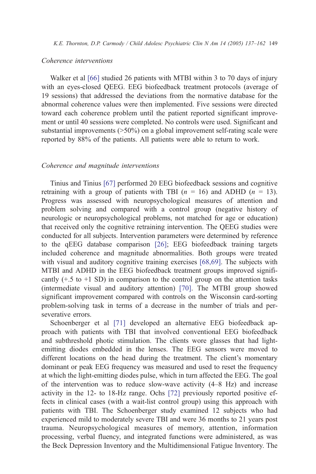## Coherence interventions

Walker et al [66] studied 26 patients with MTBI within 3 to 70 days of injury with an eyes-closed QEEG. EEG biofeedback treatment protocols (average of 19 sessions) that addressed the deviations from the normative database for the abnormal coherence values were then implemented. Five sessions were directed toward each coherence problem until the patient reported significant improvement or until 4[0 sess](#page-25-0)ions were completed. No controls were used. Significant and substantial improvements  $(>=50\%)$  on a global improvement self-rating scale were reported by 88% of the patients. All patients were able to return to work.

## Coherence and magnitude interventions

Tinius and Tinius [67] performed 20 EEG biofeedback sessions and cognitive retraining with a group of patients with TBI  $(n = 16)$  and ADHD  $(n = 13)$ . Progress was assessed with neuropsychological measures of attention and problem solving and compared with a control group (negative history of neurologic or neuropsychological problems, not matched for age or education) that received only th[e cog](#page-25-0)nitive retraining intervention. The QEEG studies were conducted for all subjects. Intervention parameters were determined by reference to the qEEG database comparison [26]; EEG biofeedback training targets included coherence and magnitude abnormalities. Both groups were treated with visual and auditory cognitive training exercises [68,69]. The subjects with MTBI and ADHD in the EEG biofeedback treatment groups improved significantly  $(+.5 \text{ to } +1 \text{ SD})$  in comparison to the control group on the attention tasks (intermediate visual and auditory att[entio](#page-23-0)n) [70]. The MTBI group showed significant improvement compared with controls on the Wisconsin card-sorting problem-solving task in terms of a decrease in the [number](#page-25-0) of trials and perseverative errors.

Schoenberger et al [71] developed an alternative EEG biofeedback approach with patients with TBI that involved [con](#page-25-0)ventional EEG biofeedback and subthreshold photic stimulation. The clients wore glasses that had lightemitting diodes embedded in the lenses. The EEG sensors were moved to different locations on the head during the treatment. The client's momentary dominant or peak EEG f[requ](#page-25-0)ency was measured and used to reset the frequency at which the light-emitting diodes pulse, which in turn affected the EEG. The goal of the intervention was to reduce slow-wave activity (4–8 Hz) and increase activity in the 12- to 18-Hz range. Ochs [72] previously reported positive effects in clinical cases (with a wait-list control group) using this approach with patients with TBI. The Schoenberger study examined 12 subjects who had experienced mild to moderately severe TBI and were 36 months to 21 years post trauma. Neuropsychological measures of memory, attention, information processing, verbal fluency, and integrated [func](#page-25-0)tions were administered, as was the Beck Depression Inventory and the Multidimensional Fatigue Inventory. The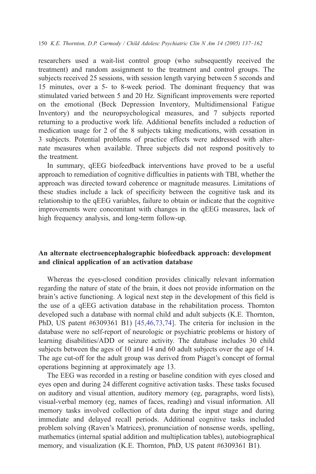researchers used a wait-list control group (who subsequently received the treatment) and random assignment to the treatment and control groups. The subjects received 25 sessions, with session length varying between 5 seconds and 15 minutes, over a 5- to 8-week period. The dominant frequency that was stimulated varied between 5 and 20 Hz. Significant improvements were reported on the emotional (Beck Depression Inventory, Multidimensional Fatigue Inventory) and the neuropsychological measures, and 7 subjects reported returning to a productive work life. Additional benefits included a reduction of medication usage for 2 of the 8 subjects taking medications, with cessation in 3 subjects. Potential problems of practice effects were addressed with alternate measures when available. Three subjects did not respond positively to the treatment.

In summary, qEEG biofeedback interventions have proved to be a useful approach to remediation of cognitive difficulties in patients with TBI, whether the approach was directed toward coherence or magnitude measures. Limitations of these studies include a lack of specificity between the cognitive task and its relationship to the qEEG variables, failure to obtain or indicate that the cognitive improvements were concomitant with changes in the qEEG measures, lack of high frequency analysis, and long-term follow-up.

# An alternate electroencephalographic biofeedback approach: development and clinical application of an activation database

Whereas the eyes-closed condition provides clinically relevant information regarding the nature of state of the brain, it does not provide information on the brain's active functioning. A logical next step in the development of this field is the use of a qEEG activation database in the rehabilitation process. Thornton developed such a database with normal child and adult subjects (K.E. Thornton, PhD, US patent #6309361 B1) [45,46,73,74]. The criteria for inclusion in the database were no self-report of neurologic or psychiatric problems or history of learning disabilities/ADD or seizure activity. The database includes 30 child subjects between the ages of 10 and 14 and 60 adult subjects over the age of 14. The age cut-off for the adult group was derived from Piaget's concept of formal operations beginning at approxi[mately age 13.](#page-24-0)

The EEG was recorded in a resting or baseline condition with eyes closed and eyes open and during 24 different cognitive activation tasks. These tasks focused on auditory and visual attention, auditory memory (eg, paragraphs, word lists), visual-verbal memory (eg, names of faces, reading) and visual information. All memory tasks involved collection of data during the input stage and during immediate and delayed recall periods. Additional cognitive tasks included problem solving (Raven's Matrices), pronunciation of nonsense words, spelling, mathematics (internal spatial addition and multiplication tables), autobiographical memory, and visualization (K.E. Thornton, PhD, US patent #6309361 B1).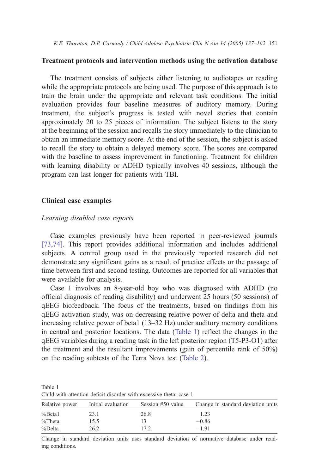## <span id="page-14-0"></span>Treatment protocols and intervention methods using the activation database

The treatment consists of subjects either listening to audiotapes or reading while the appropriate protocols are being used. The purpose of this approach is to train the brain under the appropriate and relevant task conditions. The initial evaluation provides four baseline measures of auditory memory. During treatment, the subject's progress is tested with novel stories that contain approximately 20 to 25 pieces of information. The subject listens to the story at the beginning of the session and recalls the story immediately to the clinician to obtain an immediate memory score. At the end of the session, the subject is asked to recall the story to obtain a delayed memory score. The scores are compared with the baseline to assess improvement in functioning. Treatment for children with learning disability or ADHD typically involves 40 sessions, although the program can last longer for patients with TBI.

#### Clinical case examples

 $T = 1$ 

#### Learning disabled case reports

Case examples previously have been reported in peer-reviewed journals [73,74]. This report provides additional information and includes additional subjects. A control group used in the previously reported research did not demonstrate any significant gains as a result of practice effects or the passage of time between first and second testing. Outcomes are reported for all variables that were available for analysis.

Case 1 involves an 8-year-old boy who was diagnosed with ADHD (no official diagnosis of reading disability) and underwent 25 hours (50 sessions) of [qEEG b](#page-25-0)iofeedback. The focus of the treatments, based on findings from his qEEG activation study, was on decreasing relative power of delta and theta and increasing relative power of beta1 (13–32 Hz) under auditory memory conditions in central and posterior locations. The data (Table 1) reflect the changes in the qEEG variables during a reading task in the left posterior region (T5-P3-O1) after the treatment and the resultant improvements (gain of percentile rank of 50%) on the reading subtests of the Terra Nova test (Table 2).

|         |  |  |                                                                    |  | <b>DELL'INTERNATION AND THE CONTRACT OF A STATE OF A STATE OF A STATE OF A STATE OF A STATE OF A STATE OF A STATE</b> |  |
|---------|--|--|--------------------------------------------------------------------|--|-----------------------------------------------------------------------------------------------------------------------|--|
|         |  |  | Child with attention deficit disorder with excessive theta: case 1 |  |                                                                                                                       |  |
| rapie i |  |  |                                                                    |  |                                                                                                                       |  |

| Relative power | Initial evaluation | Session #50 value | Change in standard deviation units |
|----------------|--------------------|-------------------|------------------------------------|
| %Beta1         | 23.1               | 26.8              | 1.23                               |
| $\%$ Theta     | 155                |                   | $-0.86$                            |
| %Delta         | 26.2               | 17.2              | $-1.91$                            |

Change in standard deviation units uses standard deviation of normative database under reading conditions.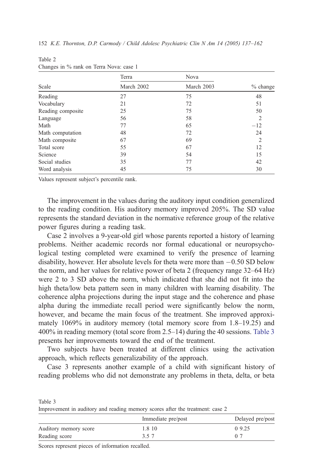|                   | Terra      | Nova       | $%$ change     |  |
|-------------------|------------|------------|----------------|--|
| Scale             | March 2002 | March 2003 |                |  |
| Reading           | 27         | 75         | 48             |  |
| Vocabulary        | 21         | 72         | 51             |  |
| Reading composite | 25         | 75         | 50             |  |
| Language          | 56         | 58         | $\overline{2}$ |  |
| Math              | 77         | 65         | $-12$          |  |
| Math computation  | 48         | 72         | 24             |  |
| Math composite    | 67         | 69         | $\overline{2}$ |  |
| Total score       | 55         | 67         | 12             |  |
| Science           | 39         | 54         | 15             |  |
| Social studies    | 35         | 77         | 42             |  |
| Word analysis     | 45         | 75         | 30             |  |

<span id="page-15-0"></span>

| Table 2                                 |  |  |  |  |
|-----------------------------------------|--|--|--|--|
| Changes in % rank on Terra Nova: case 1 |  |  |  |  |

Values represent subject's percentile rank.

The improvement in the values during the auditory input condition generalized to the reading condition. His auditory memory improved 205%. The SD value represents the standard deviation in the norm[ative refe](#page-14-0)rence group of the relative power figures during a reading task.

Case 2 involves a 9-year-old girl whose parents reported a history of learning problems. Neither academic records nor formal educational or neuropsychological testing completed were examined to verify the presence of learning disability, however. Her absolute levels for theta were more than  $-0.50$  SD below the norm, and her values for relative power of beta 2 (frequency range 32–64 Hz) were 2 to 3 SD above the norm, which indicated that she did not fit into the high theta/low beta pattern seen in many children with learning disability. The coherence alpha projections during the input stage and the coherence and phase alpha during the immediate recall period were significantly below the norm, however, and became the main focus of the treatment. She improved approximately 1069% in auditory memory (total memory score from 1.8–19.25) and 400% in reading memory (total score from 2.5–14) during the 40 sessions. Table 3 presents her improvements toward the end of the treatment.

Two subjects have been treated at different clinics using the activation approach, which reflects generalizability of the approach.

Case 3 represents another example of a child with significant history of reading problems who did not demonstrate any problems in theta, delta, or beta

|                       | Improvement in auditory and reading memory scores after the treatment: case 2 |                  |
|-----------------------|-------------------------------------------------------------------------------|------------------|
|                       | Immediate pre/post                                                            | Delayed pre/post |
| Auditory memory score | 1.8.10                                                                        | 0 9.25           |
| Reading score         | 357                                                                           | 07               |

Table 3 Improvement in auditory and reading memory scores after the treatment: case 2

Scores represent pieces of information recalled.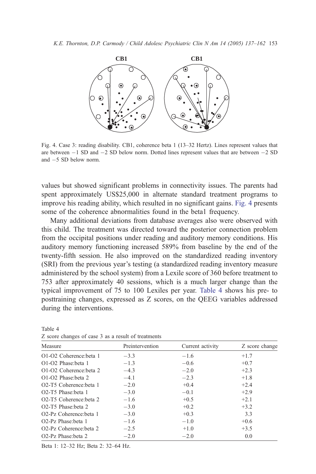<span id="page-16-0"></span>

Fig. 4. Case 3: reading disability. CB1, coherence beta 1 (13–32 Hertz). Lines represent values that are between  $-1$  SD and  $-2$  SD below norm. Dotted lines represent values that are between  $-2$  SD and  $-5$  SD below norm.

values but showed significant problems in connectivity issues. The pare[nts had](#page-15-0) spent approximately US\$25,000 in alternate standard treatment programs to improve his reading ability, which resulted in no significant gains. Fig. 4 presents some of the coherence abnormalities found in the beta1 frequency.

Many additional deviations from database averages also were observed with this child. The treatment was directed toward the posterior connection problem from the occipital positions under reading and auditory memory conditions. His auditory memory functioning increased 589% from baseline by the end of the twenty-fifth session. He also improved on the standardized reading inventory (SRI) from the previous year's testing (a standardized reading inventory measure administered by the school system) from a Lexile score of 360 before treatment to 753 after approximately 40 sessions, which is a much larger change than the typical improvement of 75 to 100 Lexiles per year. Table 4 shows his pre- to posttraining changes, expressed as Z scores, on the QEEG variables addressed during the interventions.

| Measure                                          | Preintervention | Current activity | Z score change |
|--------------------------------------------------|-----------------|------------------|----------------|
| O1-O2 Coherence: beta 1                          | $-3.3$          | $-1.6$           | $+1.7$         |
| O1-O2 Phase:beta 1                               | $-1.3$          | $-0.6$           | $+0.7$         |
| O1-O2 Coherence: beta 2                          | $-4.3$          | $-2.0$           | $+2.3$         |
| O1-O2 Phase: beta 2                              | $-4.1$          | $-2.3$           | $+1.8$         |
| O <sub>2</sub> -T <sub>5</sub> Coherence: beta 1 | $-2.0$          | $+0.4$           | $+2.4$         |
| O <sub>2</sub> -T <sub>5</sub> Phase:beta 1      | $-3.0$          | $-0.1$           | $+2.9$         |
| O <sub>2</sub> -T <sub>5</sub> Coherence: beta 2 | $-1.6$          | $+0.5$           | $+2.1$         |
| O <sub>2</sub> -T <sub>5</sub> Phase: beta 2     | $-3.0$          | $+0.2$           | $+3.2$         |
| O <sub>2</sub> -Pz Coherence: beta 1             | $-3.0$          | $+0.3$           | 3.3            |
| O <sub>2</sub> -Pz Phase: beta 1                 | $-1.6$          | $-1.0$           | $+0.6$         |
| O2-Pz Coherence: beta 2                          | $-2.5$          | $+1.0$           | $+3.5$         |
| O <sub>2</sub> -P <sub>z</sub> Phase:beta 2      | $-2.0$          | $-2.0$           | 0.0            |

Table 4 Z score changes of case 3 as a result of treatments

Beta 1: 12–32 Hz; Beta 2: 32–64 Hz.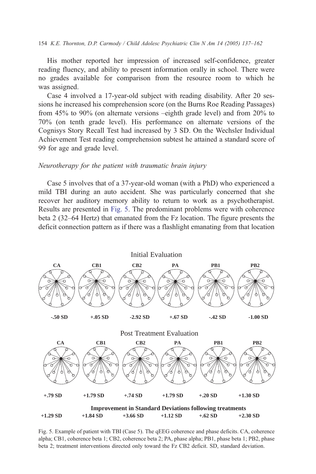<span id="page-17-0"></span>His mother reported her impression of increased self-confidence, greater reading fluency, and ability to present information orally in school. There were no grades available for comparison from the res[ource ro](#page-16-0)om to which he was assigned.

Case 4 involved a 17-year-old subject with reading disability. After 20 sessions he increased his comprehension score (on the Burns Roe Reading Passages) from 45% to 90% (on alternate versions –eighth grade level) and from 20% to 70% (on tenth grade level). His performance on alternate versions of the Cognisys Story Recall Test had increased by 3 SD. On the Wechsler Individual Achievement Test reading comprehension subtest he attained a standard score of 99 for age and grade level.

#### Neurotherapy for the patient with traumatic brain injury

Case 5 involves that of a 37-year-old woman (with a PhD) who experienced a mild TBI during an auto accident. She was particularly concerned that she recover her auditory memory ability to return to work as a psychotherapist. Results are presented in Fig. 5. The predominant problems were with coherence beta 2 (32–64 Hertz) that emanated from the Fz location. The figure presents the deficit connection pattern as if there was a flashlight emanating from that location



Fig. 5. Example of patient with TBI (Case 5). The qEEG coherence and phase deficits. CA, coherence alpha; CB1, coherence beta 1; CB2, coherence beta 2; PA, phase alpha; PB1, phase beta 1; PB2, phase beta 2; treatment interventions directed only toward the Fz CB2 deficit. SD, standard deviation.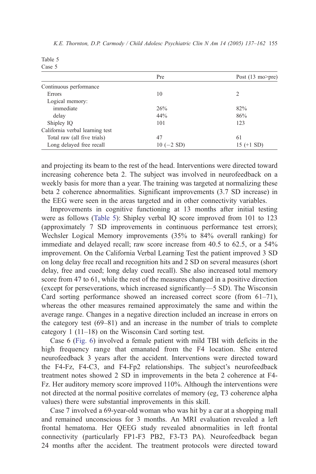|                                 | Pre          | Post $(13 \text{ mo} > \text{pre})$ |
|---------------------------------|--------------|-------------------------------------|
| Continuous performance          |              |                                     |
| Errors                          | 10           |                                     |
| Logical memory:                 |              |                                     |
| immediate                       | 26%          | 82%                                 |
| delay                           | 44%          | 86%                                 |
| Shipley IQ                      | 101          | 123                                 |
| California verbal learning test |              |                                     |
| Total raw (all five trials)     | 47           | 61                                  |
| Long delayed free recall        | $10 (-2 SD)$ | $15 (+1 SD)$                        |

Table 5 Case 5

and projecting its beam to the rest of the head. Interventions were directed toward increasing coherence beta 2. The subject was involved in neurofeedback on a weekly basis for more than a year. The training was targeted at normalizing these beta 2 coherence abnormalities. Significant improvements (3.7 SD increase) in the EEG were seen in the areas targeted and in other connectivity variables.

Improvements in co[gnitive](#page-17-0) functioning at 13 months after initial testing were as follows (Table 5): Shipley verbal IQ score improved from 101 to 123 (approximately 7 SD improvements in continuous performance test errors); Wechsler Logical Memory improvements (35% to 84% overall ranking) for immediate and delayed recall; raw score increase from 40.5 to 62.5, or a 54% improvement. On the California Verbal Learning Test the patient improved 3 SD on long delay free recall and recognition hits and 2 SD on several measures (short delay, free and cued; long delay cued recall). She also increased total memory score from 47 to 61, while the rest of the measures changed in a positive direction (except for perseverations, which increased significantly—5 SD). The Wisconsin Card sorting performance showed an increased correct score (from  $61-71$ ), whereas the other measures remained approximately the same and within the average range. Changes in a negative direction included an increase in errors on the category test (69–81) and an increase in the number of trials to complete category 1 (11–18) on the Wisconsin Card sorting test.

Case 6 (Fig. 6) involved a female patient with mild TBI with deficits in the high frequency range that emanated from the F4 location. She entered neurofeedback 3 years after the accident. Interventions were directed toward the F4-Fz, F4-C3, and F4-Fp2 relationships. The subject's neurofeedback treatment notes showed 2 SD in improvements in the beta 2 coherence at F4- Fz. Her auditory memory score improved 110%. Although the interventions were not directed at the normal positive correlates of memory (eg, T3 coherence alpha values) there were substantial improvements in this skill.

Case 7 i[nvolved](#page-19-0) a 69-year-old woman who was hit by a car at a shopping mall and remained unconscious for 3 months. An MRI evaluation revealed a left frontal hematoma. Her QEEG study revealed abnormalities in left frontal connectivity (particularly FP1-F3 PB2, F3-T3 PA). Neurofeedback began 24 months after the accident. The treatment protocols were directed toward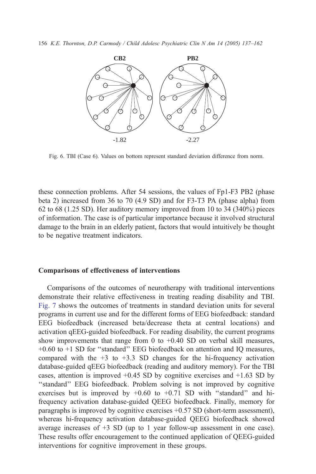<span id="page-19-0"></span>

Fig. 6. TBI (Case 6). Values on bottom represent standard deviation difference from norm.

these connection problems. After 54 sessions, the values of Fp1-F3 PB2 (phase beta 2) increased from 36 to 70 (4.9 SD) and for F3-T3 PA (phase alpha) from 62 to 68 (1.25 SD). Her auditory memory improved from 10 to 34 (340%) pieces of information. The case is of particular importance because it involved structural damage to the brain in an elderly patient, factors that would intuitively be thought to be negative treatment indicators.

#### Comparisons of effectiveness of interventions

Comparisons of the outcomes of neurotherapy with traditional interventions demonstrate their relative effectiveness in treating reading disability and TBI. Fig. 7 shows the outcomes of treatments in standard deviation units for several programs in current use and for the different forms of EEG biofeedback: standard EEG biofeedback (increased beta/decrease theta at central locations) and activation qEEG-guided biofeedback. For reading disability, the current programs show improvements that range from 0 to  $+0.40$  SD on verbal skill measures, +0.60 to +1 SD for ''standard'' EEG biofeedback on attention and IQ measures, compared with the  $+3$  to  $+3.3$  SD changes for the hi-frequency activation database-guided qEEG biofeedback (reading and auditory memory). For the TBI [cases,](#page-20-0) attention is improved  $+0.45$  SD by cognitive exercises and  $+1.63$  SD by "standard" EEG biofeedback. Problem solving is not improved by cognitive exercises but is improved by  $+0.60$  to  $+0.71$  SD with "standard" and hifrequency activation database-guided QEEG biofeedback. Finally, memory for paragraphs is improved by cognitive exercises +0.57 SD (short-term assessment), whereas hi-frequency activation database-guided QEEG biofeedback showed average increases of +3 SD (up to 1 year follow-up assessment in one case). These results offer encouragement to the continued application of QEEG-guided interventions for cognitive improvement in these groups.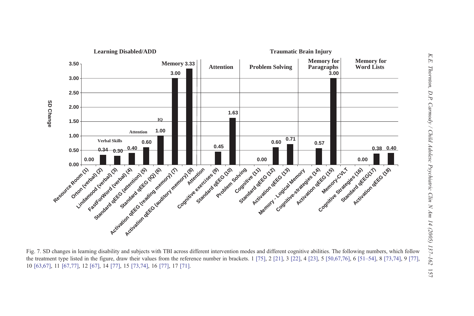<span id="page-20-0"></span>

Fig. 7. SD changes in learning disability and subjects with TBI across different intervention modes and different cognitive abilities. The following numbers, which follow the treatment type listed in the figure, draw their values from the reference number in brackets. 1 [\[75\]](#page-25-0), 2 [\[21\]](#page-23-0), 3 [\[22\]](#page-23-0), 4 [\[23\]](#page-23-0), 5 [\[50,67,76\]](#page-24-0), 6 [\[51–54\]](#page-24-0), 8 [\[73,74\]](#page-25-0), 9 [\[77\]](#page-25-0), 10 [\[63,67](#page-25-0)], 11 [\[67,77](#page-25-0)], 12 [\[67\]](#page-25-0), 14 [\[77\]](#page-25-0), 15 [\[73,74\]](#page-25-0), 16 [\[77\]](#page-25-0), 17 [\[71\]](#page-25-0).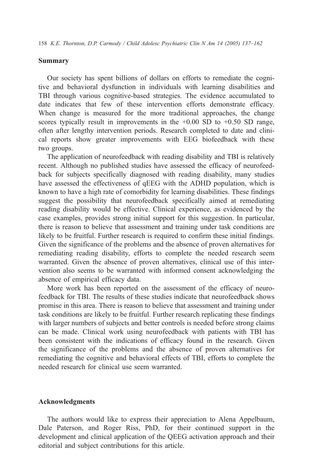#### Summary

Our society has spent billions of dollars on efforts to remediate the cognitive and behavioral dysfunction in individuals with learning disabilities and TBI through various cognitive-based strategies. The evidence accumulated to date indicates that few of these intervention efforts demonstrate efficacy. When change is measured for the more traditional approaches, the change scores typically result in improvements in the  $+0.00$  SD to  $+0.50$  SD range, often after lengthy intervention periods. Research completed to date and clinical reports show greater improvements with EEG biofeedback with these two groups.

The application of neurofeedback with reading disability and TBI is relatively recent. Although no published studies have assessed the efficacy of neurofeedback for subjects specifically diagnosed with reading disability, many studies have assessed the effectiveness of qEEG with the ADHD population, which is known to have a high rate of comorbidity for learning disabilities. These findings suggest the possibility that neurofeedback specifically aimed at remediating reading disability would be effective. Clinical experience, as evidenced by the case examples, provides strong initial support for this suggestion. In particular, there is reason to believe that assessment and training under task conditions are likely to be fruitful. Further research is required to confirm these initial findings. Given the significance of the problems and the absence of proven alternatives for remediating reading disability, efforts to complete the needed research seem warranted. Given the absence of proven alternatives, clinical use of this intervention also seems to be warranted with informed consent acknowledging the absence of empirical efficacy data.

More work has been reported on the assessment of the efficacy of neurofeedback for TBI. The results of these studies indicate that neurofeedback shows promise in this area. There is reason to believe that assessment and training under task conditions are likely to be fruitful. Further research replicating these findings with larger numbers of subjects and better controls is needed before strong claims can be made. Clinical work using neurofeedback with patients with TBI has been consistent with the indications of efficacy found in the research. Given the significance of the problems and the absence of proven alternatives for remediating the cognitive and behavioral effects of TBI, efforts to complete the needed research for clinical use seem warranted.

## Acknowledgments

The authors would like to express their appreciation to Alena Appelbaum, Dale Paterson, and Roger Riss, PhD, for their continued support in the development and clinical application of the QEEG activation approach and their editorial and subject contributions for this article.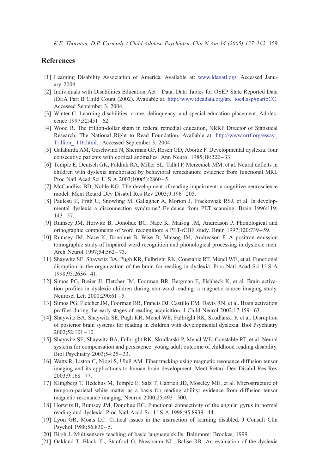# <span id="page-22-0"></span>References

- [1] Learning Disability Association of America. Available at: www.ldanatl.org. Accessed January 2004.
- [2] Individuals with Disabilities Education Act—Data; Data Tables for OSEP State Reported Data IDEA Part B Child Count (2002). Available at: http://www.ideadata.org/arc\_toc4.asp#partbCC. Accessed September 3, 2004.
- [3] Winter C. Learning disabilities, crime, delinquency, and special education placement. Adolescence 1997;32:451-62.
- [4] Wood R. The trillion-dollar sham in federal remedial education, NRRF Director of Statistical Research, The National Right to Read Foundation. Available at: http://www.nrrf.org/essay\_ Trillion\_ 116.html. Accessed September 3, 2004.
- [5] Galaburda AM, Geschwind N, Sherman GF, Rosen GD, Aboitiz F. Developmental dyslexia: four consecutive patients with cortical anomalies. Ann Neurol 1985;18:222 – 33.
- [6] Temple E, Deutsch GK, Poldrak RA, Miller SL, Tallal P, Merzenich MM, et al. Neural deficits in children with dyslexia ameliorated by behavioral remediation: evidence from functional MRI. Proc Natl Acad Sci U S A 2003;100(5):2860-5.
- [7] McCandliss BD, Noble KG. The development of reading im[pairment: a cognit]( http:\\www.ldanatl.org. )ive neuroscience model. Ment Retard Dev Disabil Res Rev 2003;9:196 – 205.
- [8] Paulesu E, Frith U, Snowling M, Gallagher A, Morton J, Frackowiak RSJ, et al. Is developmental dyslexia a disconnection syndrome? Evidence from PET scanning. Brain 1996;119:  $143 - 57$ .
- [9] Rumsey JM, Horwitz B, Donohue BC, Nace K, Maisog JM, Andreason P. Phonological and orthographic components of word recognition: a PET-rCBF study. Brain 1997;120:739 – 59.
- [10] Rumsey JM, Nace K, Donohue B, Wise D, Maisog JM, Andreason P. A positron emission tomographic study of impaired word recognition and phonological processing in dyslexic men. Arch Neurol 1997;54:562-73.
- [11] Shaywitz SE, Shaywitz BA, Pugh KR, Fulbright RK, Constable RT, Mencl WE, et al. Functional disruption in the organization of the brain for reading in dyslexia. Proc Natl Acad Sci U S A 1998;95:2636 – 41.
- [12] Simos PG, Breier JI, Fletcher JM, Foorman BR, Bergman E, Fishbeck K, et al. Brain activation profiles in dyslexic children during non-word reading: a magnetic source imaging study. Neurosci Lett 2000;290:61-5.
- [13] Simos PG, Fletcher JM, Foorman BR, Francis DJ, Castillo EM, Davis RN, et al. Brain activation profiles during the early stages of reading acquisition. J Child Neurol  $2002;17:159-63$ .
- [14] Shaywitz BA, Shaywitz SE, Pugh KR, Mencl WE, Fulbright RK, Skudlarski P, et al. Disruption of posterior brain systems for reading in children with developmental dyslexia. Biol Psychiatry  $2002:52:101 - 10.$
- [15] Shaywitz SE, Shaywitz BA, Fulbright RK, Skudlarski P, Mencl WE, Constable RT, et al. Neural systems for compensation and persistence: young adult outcome of childhood reading disability. Biol Psychiatry 2003;54:25 – 33.
- [16] Watts R, Liston C, Niogi S, Uluğ AM. Fiber tracking using magnetic resonance diffusion tensor imaging and its applications to human brain development. Ment Retard Dev Disabil Res Rev 2003;9:168 – 77.
- [17] Klingberg T, Hedehus M, Temple E, Salz T, Gabrieli JD, Moseley ME, et al. Microstructure of temporo-parietal white matter as a basis for reading ability: evidence from diffusion tensor magnetic resonance imaging. Neuron 2000;25:493 – 500.
- [18] Horwitz B, Rumsey JM, Donohue BC. Functional connectivity of the angular gyrus in normal reading and dyslexia. Proc Natl Acad Sci U S A 1998;95:8939 – 44.
- [19] Lyon GR, Moats LC. Critical issues in the instruction of learning disabled. J Consult Clin Psychol 1988;56:830-5.
- [20] Birsh J. Multisensory teaching of basic language skills. Baltimore: Brookes; 1999.
- [21] Oakland T, Black JL, Stanford G, Nussbaum NL, Balise RR. An evaluation of the dyslexia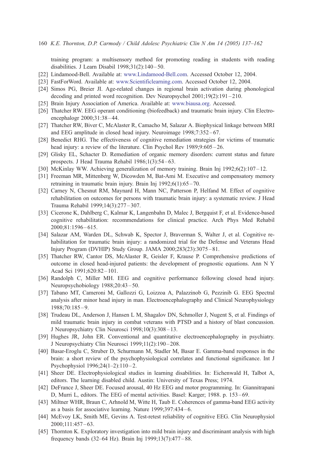<span id="page-23-0"></span>training program: a multisensory method for promoting reading in students with reading disabilities. J Learn Disabil 1998;31(2):140 – 50.

- [22] Lindamood-Bell. Available at: www.Lindamood-Bell.com. Accessed October 12, 2004.
- [23] FastForWord. Available at: www.Scientificlearning.com. Accessed October 12, 2004.
- [24] Simos PG, Breier JI. Age-related changes in regional brain activation during phonological decoding and printed word recognition. Dev Neuropsychol 2001;19(2):191 – 210.
- [25] Brain Injury Association of America. Available at: www.biausa.org. Accessed.
- [26] Thatcher RW. EEG operant conditioning (biofeedback) and traumatic brain injury. Clin Electroencephalogr 2000;31:38 – 44.
- [27] Thatcher RW, Biver C, McAlaster R, Camacho M, Salazar A. Biophysical linkage between MRI and EEG amplitude in closed head injury. Neuroimage 1998;7:352-67.
- [28] Benedict RHG. The effectiveness of cognitive remediation strategies for victims of traumatic head injury: a review of the literature. Clin Psychol Rev 1989;9:605-26.
- [29] Glisky EL, Schacter D. Remediation of organic memory disorders: current status and future prospects. J Head Trauma Rehabil 1986;1(3):54 – 63.
- [30] McKinlay WW. Achieving generalization of memory training. Brain Inj 1992;6(2):107 12.
- [31] Freeman MR, Mittenberg W, Dicowden M, Bat-Ami M. Executive and compensatory memory retraining in traumatic brain in[jury. Brain Inj 1992;6\(1\):65]( http:\\www.Lindamood-Bell.com ) – 70.
- [32] Carney N, Chesnut RM, [Maynard H, Mann NC, Patter]( http:\\www.Scientificlearning.com )son P, Helfand M. Effect of cognitive rehabilitation on outcomes for persons with traumatic brain injury: a systematic review. J Head Trauma Rehabil 1999;14(3):277 – 307.
- [33] Cicerone K, Dahlberg C, Kalmar K, Langenbahn [D, Malec J, Bergquist F, et al. Evidence-based]( http:\\www.ideadata.org\arc_toc4.asp#partbCC ) cognitive rehabilitation: recommendations for clinical practice. Arch Phys Med Rehabil 2000;81:1596 – 615.
- [34] Salazar AM, Warden DL, Schwab K, Spector J, Braverman S, Walter J, et al. Cognitive rehabilitation for traumatic brain injury: a randomized trial for the D[efense and Veterans Head]( http:\\www.nrrf.org\essay_Trillion_116.html ) Injury Program (DVHIP) Study Group. JAMA 2000;283(23):3075 – 81.
- [35] Thatcher RW, Cantor DS, McAlaster R, Geisler F, Krause P. Comprehensive predictions of outcome in closed head-injured patients: the development of prognostic equations. Ann N Y Acad Sci 1991;620:82-101.
- [36] Randolph C, Miller MH. EEG and cognitive performance following closed head injury. Neuropsychobiology 1988;20:43-50.
- [37] Tabano MT, Cameroni M, Gallozzi G, Loizzoa A, Palazzinob G, Pezzinib G. EEG Spectral analysis after minor head injury in man. Electroencephalography and Clinical Neurophysiology 1988;70:185 – 9.
- [38] Trudeau DL, Anderson J, Hansen L M, Shagalov DN, Schmoller J, Nugent S, et al. Findings of mild traumatic brain injury in combat veterans with PTSD and a history of blast concussion. J Neuropsychiatry Clin Neurosci 1998;10(3):308 – 13.
- [39] Hughes JR, John ER. Conventional and quantitative electroencephalography in psychiatry. J Neuropsychiatry Clin Neurosci 1999;11(2):190 – 208.
- [40] Basar-Eroglu C, Struber D, Schurmann M, Stadler M, Basar E. Gamma-band responses in the brain: a short review of the psychophysiological correlates and functional significance. Int J Psychophysiol 1996;24(1-2):110-2.
- [41] Sheer DE. Electrophysiological studies in learning disabilities. In: Eichenwald H, Talbot A, editors. The learning disabled child. Austin: University of Texas Press; 1974.
- [42] DeFrance J, Sheer DE. Focused arousal, 40 Hz EEG and motor programming. In: Giannitrapani D, Murri L, editors. The EEG of mental activities. Basel: Karger; 1988. p.  $153 - 69$ .
- [43] Miltner WHR, Braun C, Arhnold M, Witte H, Taub E. Coherences of gamma-band EEG activity as a basis for associative learning. Nature 1999;397:434 – 6.
- [44] McEvoy LK, Smith ME, Gevins A. Test-retest reliability of cognitive EEG. Clin Neurophysiol 2000;111:457 – 63.
- [45] Thornton K. Exploratory investigation into mild brain injury and discriminant analysis with high frequency bands (32–64 Hz). Brain Inj 1999;13(7):477 – 88.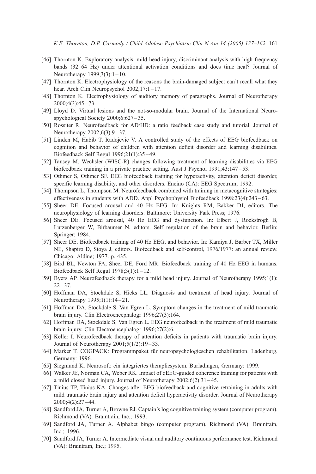- <span id="page-24-0"></span>[46] Thornton K. Exploratory analysis: mild head injury, discriminant analysis with high frequency bands (32–64 Hz) under attentional activation conditions and does time heal? Journal of Neurotherapy 1999;3(3):1-10.
- [47] Thornton K. Electrophysiology of the reasons the brain-damaged subject can't recall what they hear. Arch Clin Neuropsychol 2002;17:1-17.
- [48] Thornton K. Electrophysiology of auditory memory of paragraphs. Journal of Neurotherapy  $2000;4(3):45 - 73.$
- [49] Lloyd D. Virtual lesions and the not-so-modular brain. Journal of the International Neurospychological Society 2000;6:627-35.
- [50] Rossiter R. Neurofeedback for AD/HD: a ratio feedback case study and tutorial. Journal of Neurotherapy 2002;6(3):9-37.
- [51] Linden M, Habib T, Radojevic V. A controlled study of the effects of EEG biofeedback on cognition and behavior of children with attention deficit disorder and learning disabilities. Biofeedback Self Regul 1996;21(1):35 – 49.
- [52] Tansey M. Wechsler (WISC-R) changes following treatment of learning disabilities via EEG biofeedback training in a private practice setting. Aust J Psychol 1991;43:147-53.
- [53] Othmer S, Othmer SF. EEG biofeedback training for hyperactivity, attention deficit disorder, specific learning disability, and other disorders. Encino (CA): EEG Spectrum; 1992.
- [54] Thompson L, Thompson M. Neurofeedback combined with training in metacognitive strategies: effectiveness in students with ADD. Appl Psychophysiol Biofeedback 1998;23(4):243 – 63.
- [55] Sheer DE. Focused arousal and 40 Hz EEG. In: Knights RM, Bakker DJ, editors. The neurophysiology of learning disorders. Baltimore: University Park Press; 1976.
- [56] Sheer DE. Focused arousal, 40 Hz EEG and dysfunction. In: Elbert J, Rockstrogh B, Lutzenberger W, Birbaumer N, editors. Self regulation of the brain and behavior. Berlin: Springer; 1984.
- [57] Sheer DE. Biofeedback training of 40 Hz EEG, and behavior. In: Kamiya J, Barber TX, Miller NE, Shapiro D, Stoya J, editors. Biofeedback and self-control, 1976/1977: an annual review. Chicago: Aldine; 1977. p. 435.
- [58] Bird BL, Newton FA, Sheer DE, Ford MR. Biofeedback training of 40 Hz EEG in humans. Biofeedback Self Regul  $1978;3(1):1-12$ .
- [59] Byers AP. Neurofeedback therapy for a mild head injury. Journal of Neurotherapy 1995;1(1):  $22 - 37.$
- [60] Hoffman DA, Stockdale S, Hicks LL. Diagnosis and treatment of head injury. Journal of Neurotherapy 1995;1(1):14-21.
- [61] Hoffman DA, Stockdale S, Van Egren L. Symptom changes in the treatment of mild traumatic brain injury. Clin Electroencephalogr 1996;27(3):164.
- [62] Hoffman DA, Stockdale S, Van Egren L. EEG neurofeedback in the treatment of mild traumatic brain injury. Clin Electroencephalogr 1996;27(2):6.
- [63] Keller I. Neurofeedback therapy of attention deficits in patients with traumatic brain injury. Journal of Neurotherapy 2001;5(1/2):19 – 33.
- [64] Marker T. COGPACK: Programmpaket für neuropsychologicschen rehabilitation. Ladenburg, Germany: 1996.
- [65] Siegmund K. Neurosoft: ein integriertes therapliesystem. Burladingen, Germany: 1999.
- [66] Walker JE, Norman CA, Weber RK. Impact of qEEG-guided coherence training for patients with a mild closed head injury. Journal of Neurotherapy 2002;6(2):31 – 45.
- [67] Tinius TP, Tinius KA. Changes after EEG biofeedback and cognitive retraining in adults with mild traumatic brain injury and attention deficit hyperactivity disorder. Journal of Neurotherapy  $2000;4(2):27 - 44.$
- [68] Sandford JA, Turner A, Browne RJ. Captain's log cognitive training system (computer program). Richmond (VA): Braintrain, Inc.; 1993.
- [69] Sandford JA, Turner A. Alphabet bingo (computer program). Richmond (VA): Braintrain, Inc.; 1996.
- [70] Sandford JA, Turner A. Intermediate visual and auditory continuous performance test. Richmond (VA): Braintrain, Inc.; 1995.